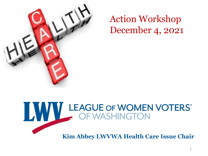

Action Workshop December 4, 2021

# WWW LEAGUE OF WOMEN VOTERS

**Kim Abbey LWVWA Health Care Issue Chair**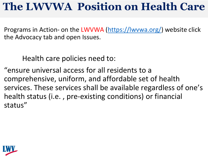## **The LWVWA Position on Health Care**

Programs in Action- on the LWVWA (<https://lwvwa.org/>) website click the Advocacy tab and open Issues.

Health care policies need to:

"ensure universal access for all residents to a comprehensive, uniform, and affordable set of health services. These services shall be available regardless of one's health status (i.e. , pre-existing conditions) or financial status"

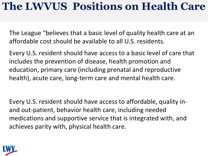## **The LWVUS Positions on Health Care**

The League "believes that a basic level of quality health care at an affordable cost should be available to all U.S. residents.

Every U.S. resident should have access to a basic level of care that includes the prevention of disease, health promotion and education, primary care (including prenatal and reproductive health), acute care, long-term care and mental health care.

Every U.S. resident should have access to affordable, quality inand out-patient, behavior health care, including needed medications and supportive service that is integrated with, and achieves parity with, physical health care.

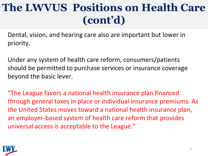# **The LWVUS Positions on Health Care (cont'd)**

Dental, vision, and hearing care also are important but lower in priority.

Under any system of health care reform, consumers/patients should be permitted to purchase services or insurance coverage beyond the basic lever.

"The League favors a national health insurance plan financed through general taxes in place or individual insurance premiums. As the United States moves toward a national health insurance plan, an employer-based system of health care reform that provides universal access is acceptable to the League."

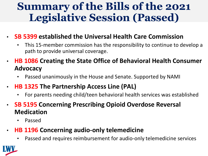## **Summary of the Bills of the 2021 Legislative Session (Passed)**

#### • **SB 5399 established the Universal Health Care Commission**

- This 15-member commission has the responsibility to continue to develop a path to provide universal coverage.
- **HB 1086 Creating the State Office of Behavioral Health Consumer Advocacy** 
	- Passed unanimously in the House and Senate. Supported by NAMI
- **HB 1325 The Partnership Access Line (PAL)** 
	- For parents needing child/teen behavioral health services was established
- **SB 5195 Concerning Prescribing Opioid Overdose Reversal Medication** 
	- Passed

#### • **HB 1196 Concerning audio-only telemedicine**

• Passed and requires reimbursement for audio-only telemedicine services

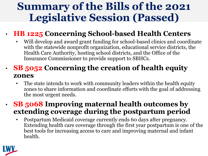### **Summary of the Bills of the 2021 Legislative Session (Passed)**

#### • **HB 1225 Concerning School-based Health Centers**

• Will develop and award grant funding for school-based clinics and coordinate with the statewide nonprofit organization, educational service districts, the Health Care Authority, hosting school districts, and the Office of the Insurance Commissioner to provide support to SBHCs.

#### • **SB 5052 Concerning the creation of health equity zones**

The state intends to work with community leaders within the health equity zones to share information and coordinate efforts with the goal of addressing the most urgent needs.

#### • **SB 5068 Improving maternal health outcomes by extending coverage during the postpartum period**

• Postpartum Medicaid coverage currently ends 60 days after pregnancy. Extending health care coverage through the first year postpartum is one of the best tools for increasing access to care and improving maternal and infant health.

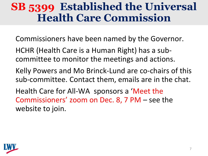#### **SB 5399 Established the Universal Health Care Commission**

Commissioners have been named by the Governor.

HCHR (Health Care is a Human Right) has a subcommittee to monitor the meetings and actions.

Kelly Powers and Mo Brinck-Lund are co-chairs of this sub-committee. Contact them, emails are in the chat.

Health Care for All-WA sponsors a 'Meet the Commissioners' zoom on Dec. 8, 7 PM – see the website to join.

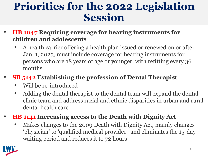#### **Priorities for the 2022 Legislation Session**

- **HB 1047 Requiring coverage for hearing instruments for children and adolescents**
	- A health carrier offering a health plan issued or renewed on or after Jan. 1, 2023, must include coverage for hearing instruments for persons who are 18 years of age or younger, with refitting every 36 months.

#### • **SB 5142 Establishing the profession of Dental Therapist**

- Will be re-introduced
- Adding the dental therapist to the dental team will expand the dental clinic team and address racial and ethnic disparities in urban and rural dental health care
- **HB 1141 Increasing access to the Death with Dignity Act**
	- Makes changes to the 2009 Death with Dignity Act, mainly changes 'physician' to 'qualified medical provider' and eliminates the 15-day waiting period and reduces it to 72 hours

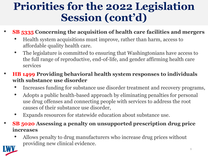## **Priorities for the 2022 Legislation Session (cont'd)**

- **SB 5335 Concerning the acquisition of health care facilities and mergers**
	- Health system acquisitions must improve, rather than harm, access to affordable quality health care.
	- The legislature is committed to ensuring that Washingtonians have access to the full range of reproductive, end-of-life, and gender affirming health care services
- **HB 1499 Providing behavioral health system responses to individuals with substance use disorder**
	- Increases funding for substance use disorder treatment and recovery programs,
	- Adopts a public health-based approach by eliminating penalties for personal use drug offenses and connecting people with services to address the root causes of their substance use disorder,
	- Expands resources for statewide education about substance use.
- **SB 5020 Assessing a penalty on unsupported prescription drug price increases**
	- Allows penalty to drug manufacturers who increase drug prices without providing new clinical evidence.

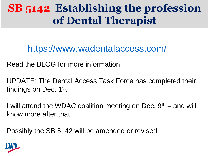## **SB 5142 Establishing the profession of Dental Therapist**

<https://www.wadentalaccess.com/>

Read the BLOG for more information

UPDATE: The Dental Access Task Force has completed their findings on Dec. 1st.

I will attend the WDAC coalition meeting on Dec.  $9<sup>th</sup>$  – and will know more after that.

Possibly the SB 5142 will be amended or revised.

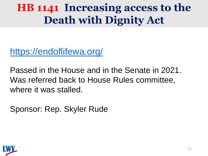# **HB 1141 Increasing access to the Death with Dignity Act**

<https://endoflifewa.org/>

Passed in the House and in the Senate in 2021. Was referred back to House Rules committee, where it was stalled.

Sponsor: Rep. Skyler Rude

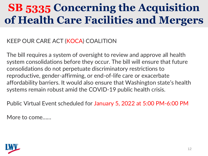# **SB 5335 Concerning the Acquisition of Health Care Facilities and Mergers**

KEEP OUR CARE ACT (KOCA) COALITION

The bill requires a system of oversight to review and approve all health system consolidations before they occur. The bill will ensure that future consolidations do not perpetuate discriminatory restrictions to reproductive, gender-affirming, or end-of-life care or exacerbate affordability barriers. It would also ensure that Washington state's health systems remain robust amid the COVID-19 public health crisis.

Public Virtual Event scheduled for January 5, 2022 at 5:00 PM-6:00 PM

More to come……

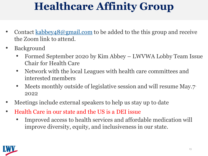# **Healthcare Affinity Group**

- Contact [kabbey48@gmail.com](mailto:kabbey48@gmail.com) to be added to the this group and receive the Zoom link to attend.
- **Background** 
	- Formed September 2020 by Kim Abbey LWVWA Lobby Team Issue Chair for Health Care
	- Network with the local Leagues with health care committees and interested members
	- Meets monthly outside of legislative session and will resume May.7. 2022
- Meetings include external speakers to help us stay up to date
- Health Care in our state and the US is a DEI issue
	- Improved access to health services and affordable medication will improve diversity, equity, and inclusiveness in our state.

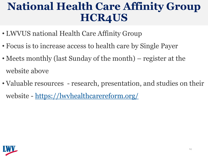## **National Health Care Affinity Group HCR4US**

- LWVUS national Health Care Affinity Group
- Focus is to increase access to health care by Single Payer
- Meets monthly (last Sunday of the month) register at the website above
- Valuable resources research, presentation, and studies on their website - <https://lwvhealthcarereform.org/>

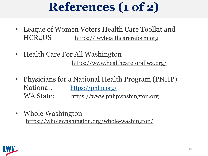# **References (1 of 2)**

- League of Women Voters Health Care Toolkit and HCR4US [https://lwvhealthcarereform.org](https://lwvhealthcarereform.org/)
- Health Care For All Washington <https://www.healthcareforallwa.org/>
- Physicians for a National Health Program (PNHP) National: <https://pnhp.org/> WA State: [https://www.pnhpwashington.org](https://www.pnhpwashington.org/)
- Whole Washington <https://wholewashington.org/whole-washington/>

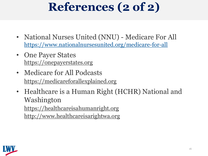# **References (2 of 2)**

- National Nurses United (NNU) Medicare For All <https://www.nationalnursesunited.org/medicare-for-all>
- One Payer States [https://onepayerstates.org](https://onepayerstates.org/)
- Medicare for All Podcasts [https://medicareforallexplained.org](https://medicareforallexplained.org/)
- Healthcare is a Human Right (HCHR) National and Washington [https://healthcareisahumanright.org](https://healthcareisahumanright.org/) [http://www.healthcareisarightwa.org](http://www.healthcareisarightwa.org/)